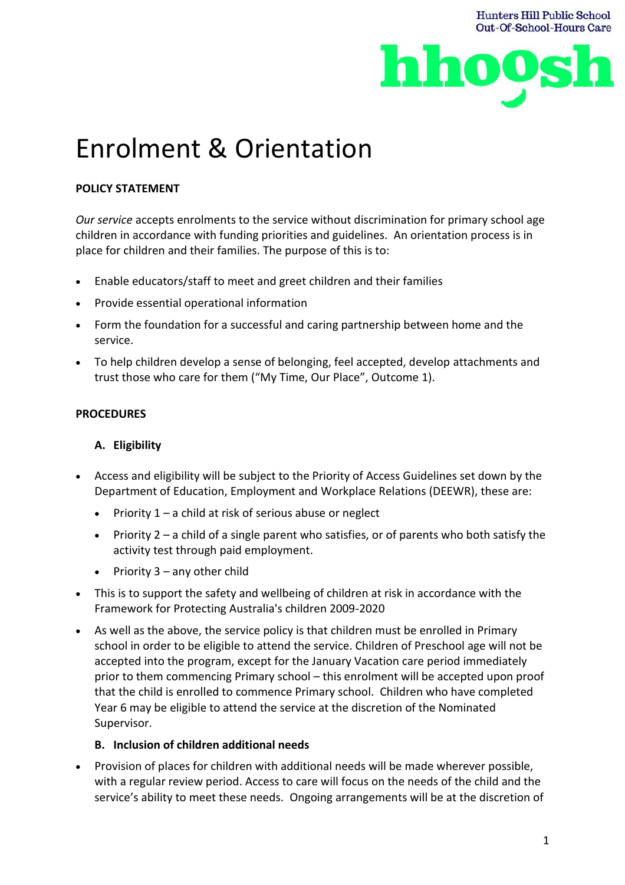

**Hunters Hill Public School** 

# Enrolment & Orientation

# **POLICY STATEMENT**

*Our service* accepts enrolments to the service without discrimination for primary school age children in accordance with funding priorities and guidelines. An orientation process is in place for children and their families. The purpose of this is to:

- Enable educators/staff to meet and greet children and their families
- Provide essential operational information
- Form the foundation for a successful and caring partnership between home and the service.
- To help children develop a sense of belonging, feel accepted, develop attachments and trust those who care for them ("My Time, Our Place", Outcome 1).

#### **PROCEDURES**

# **A. Eligibility**

- Access and eligibility will be subject to the Priority of Access Guidelines set down by the Department of Education, Employment and Workplace Relations (DEEWR), these are:
	- Priority  $1 a$  child at risk of serious abuse or neglect
	- Priority 2 a child of a single parent who satisfies, or of parents who both satisfy the activity test through paid employment.
	- Priority  $3 any other child$
- This is to support the safety and wellbeing of children at risk in accordance with the Framework for Protecting Australia's children 2009-2020
- As well as the above, the service policy is that children must be enrolled in Primary school in order to be eligible to attend the service. Children of Preschool age will not be accepted into the program, except for the January Vacation care period immediately prior to them commencing Primary school – this enrolment will be accepted upon proof that the child is enrolled to commence Primary school. Children who have completed Year 6 may be eligible to attend the service at the discretion of the Nominated Supervisor.

#### **B. Inclusion of children additional needs**

• Provision of places for children with additional needs will be made wherever possible, with a regular review period. Access to care will focus on the needs of the child and the service's ability to meet these needs. Ongoing arrangements will be at the discretion of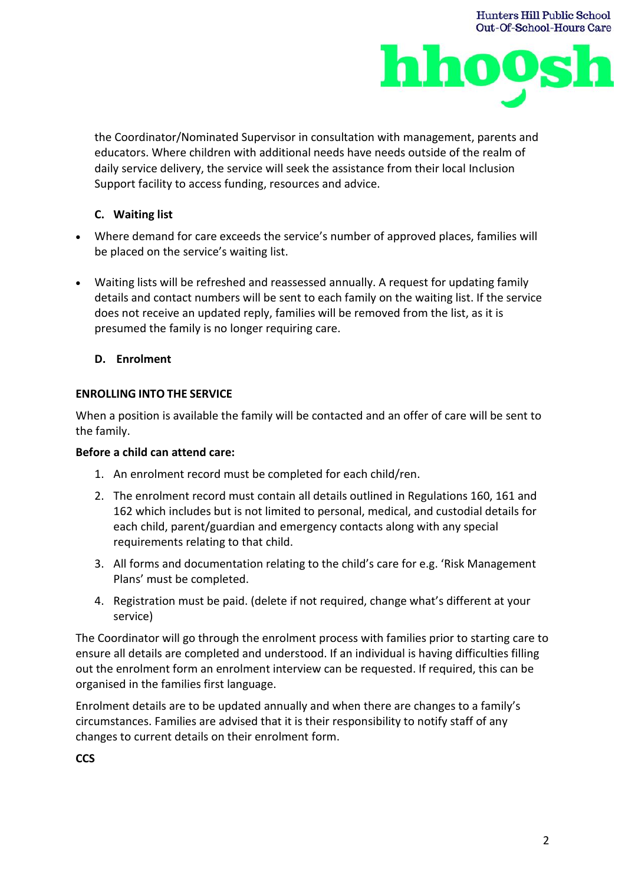

**Hunters Hill Public School** 

the Coordinator/Nominated Supervisor in consultation with management, parents and educators. Where children with additional needs have needs outside of the realm of daily service delivery, the service will seek the assistance from their local Inclusion Support facility to access funding, resources and advice.

# **C. Waiting list**

- Where demand for care exceeds the service's number of approved places, families will be placed on the service's waiting list.
- Waiting lists will be refreshed and reassessed annually. A request for updating family details and contact numbers will be sent to each family on the waiting list. If the service does not receive an updated reply, families will be removed from the list, as it is presumed the family is no longer requiring care.

## **D. Enrolment**

## **ENROLLING INTO THE SERVICE**

When a position is available the family will be contacted and an offer of care will be sent to the family.

#### **Before a child can attend care:**

- 1. An enrolment record must be completed for each child/ren.
- 2. The enrolment record must contain all details outlined in Regulations 160, 161 and 162 which includes but is not limited to personal, medical, and custodial details for each child, parent/guardian and emergency contacts along with any special requirements relating to that child.
- 3. All forms and documentation relating to the child's care for e.g. 'Risk Management Plans' must be completed.
- 4. Registration must be paid. (delete if not required, change what's different at your service)

The Coordinator will go through the enrolment process with families prior to starting care to ensure all details are completed and understood. If an individual is having difficulties filling out the enrolment form an enrolment interview can be requested. If required, this can be organised in the families first language.

Enrolment details are to be updated annually and when there are changes to a family's circumstances. Families are advised that it is their responsibility to notify staff of any changes to current details on their enrolment form.

**CCS**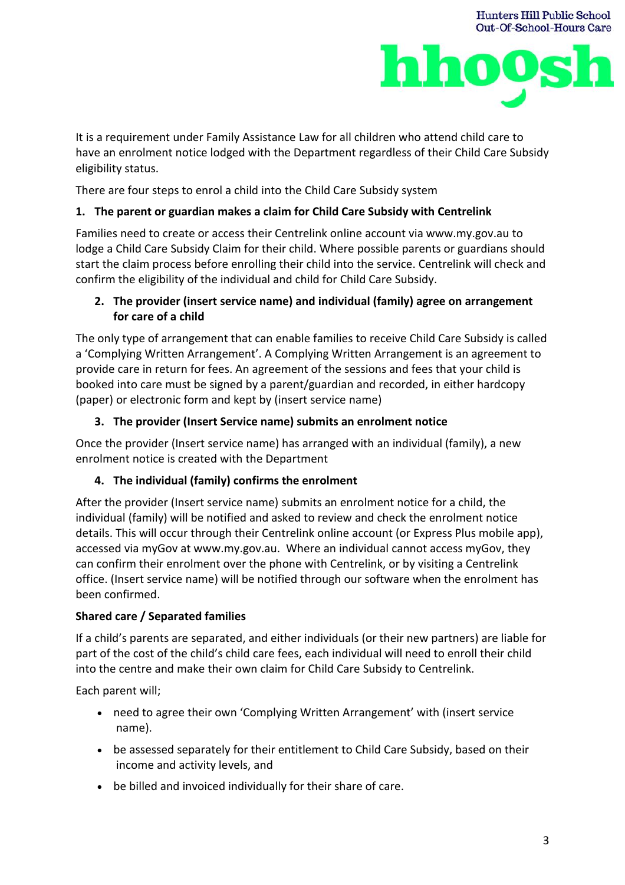



It is a requirement under Family Assistance Law for all children who attend child care to have an enrolment notice lodged with the Department regardless of their Child Care Subsidy eligibility status.

There are four steps to enrol a child into the Child Care Subsidy system

## **1. The parent or guardian makes a claim for Child Care Subsidy with Centrelink**

Families need to create or access their Centrelink online account via www.my.gov.au to lodge a Child Care Subsidy Claim for their child. Where possible parents or guardians should start the claim process before enrolling their child into the service. Centrelink will check and confirm the eligibility of the individual and child for Child Care Subsidy.

# **2. The provider (insert service name) and individual (family) agree on arrangement for care of a child**

The only type of arrangement that can enable families to receive Child Care Subsidy is called a 'Complying Written Arrangement'. A Complying Written Arrangement is an agreement to provide care in return for fees. An agreement of the sessions and fees that your child is booked into care must be signed by a parent/guardian and recorded, in either hardcopy (paper) or electronic form and kept by (insert service name)

## **3. The provider (Insert Service name) submits an enrolment notice**

Once the provider (Insert service name) has arranged with an individual (family), a new enrolment notice is created with the Department

# **4. The individual (family) confirms the enrolment**

After the provider (Insert service name) submits an enrolment notice for a child, the individual (family) will be notified and asked to review and check the enrolment notice details. This will occur through their Centrelink online account (or Express Plus mobile app), accessed via myGov at www.my.gov.au. Where an individual cannot access myGov, they can confirm their enrolment over the phone with Centrelink, or by visiting a Centrelink office. (Insert service name) will be notified through our software when the enrolment has been confirmed.

#### **Shared care / Separated families**

If a child's parents are separated, and either individuals (or their new partners) are liable for part of the cost of the child's child care fees, each individual will need to enroll their child into the centre and make their own claim for Child Care Subsidy to Centrelink.

Each parent will;

- need to agree their own 'Complying Written Arrangement' with (insert service name).
- be assessed separately for their entitlement to Child Care Subsidy, based on their income and activity levels, and
- be billed and invoiced individually for their share of care.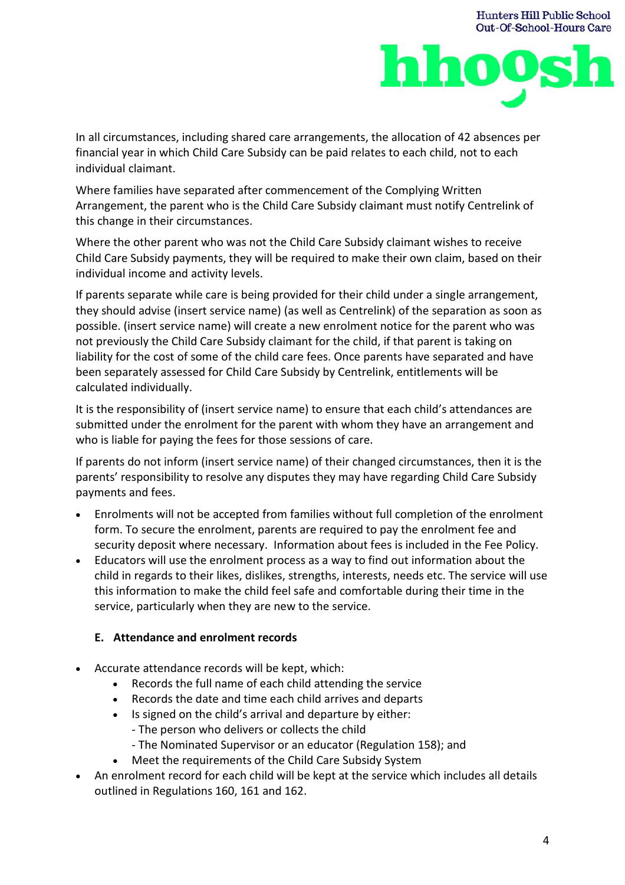

**Hunters Hill Public School** 

In all circumstances, including shared care arrangements, the allocation of 42 absences per financial year in which Child Care Subsidy can be paid relates to each child, not to each individual claimant.

Where families have separated after commencement of the Complying Written Arrangement, the parent who is the Child Care Subsidy claimant must notify Centrelink of this change in their circumstances.

Where the other parent who was not the Child Care Subsidy claimant wishes to receive Child Care Subsidy payments, they will be required to make their own claim, based on their individual income and activity levels.

If parents separate while care is being provided for their child under a single arrangement, they should advise (insert service name) (as well as Centrelink) of the separation as soon as possible. (insert service name) will create a new enrolment notice for the parent who was not previously the Child Care Subsidy claimant for the child, if that parent is taking on liability for the cost of some of the child care fees. Once parents have separated and have been separately assessed for Child Care Subsidy by Centrelink, entitlements will be calculated individually.

It is the responsibility of (insert service name) to ensure that each child's attendances are submitted under the enrolment for the parent with whom they have an arrangement and who is liable for paying the fees for those sessions of care.

If parents do not inform (insert service name) of their changed circumstances, then it is the parents' responsibility to resolve any disputes they may have regarding Child Care Subsidy payments and fees.

- Enrolments will not be accepted from families without full completion of the enrolment form. To secure the enrolment, parents are required to pay the enrolment fee and security deposit where necessary. Information about fees is included in the Fee Policy.
- Educators will use the enrolment process as a way to find out information about the child in regards to their likes, dislikes, strengths, interests, needs etc. The service will use this information to make the child feel safe and comfortable during their time in the service, particularly when they are new to the service.

# **E. Attendance and enrolment records**

- Accurate attendance records will be kept, which:
	- Records the full name of each child attending the service
	- Records the date and time each child arrives and departs
	- Is signed on the child's arrival and departure by either: - The person who delivers or collects the child
		- The Nominated Supervisor or an educator (Regulation 158); and
	- Meet the requirements of the Child Care Subsidy System
- An enrolment record for each child will be kept at the service which includes all details outlined in Regulations 160, 161 and 162.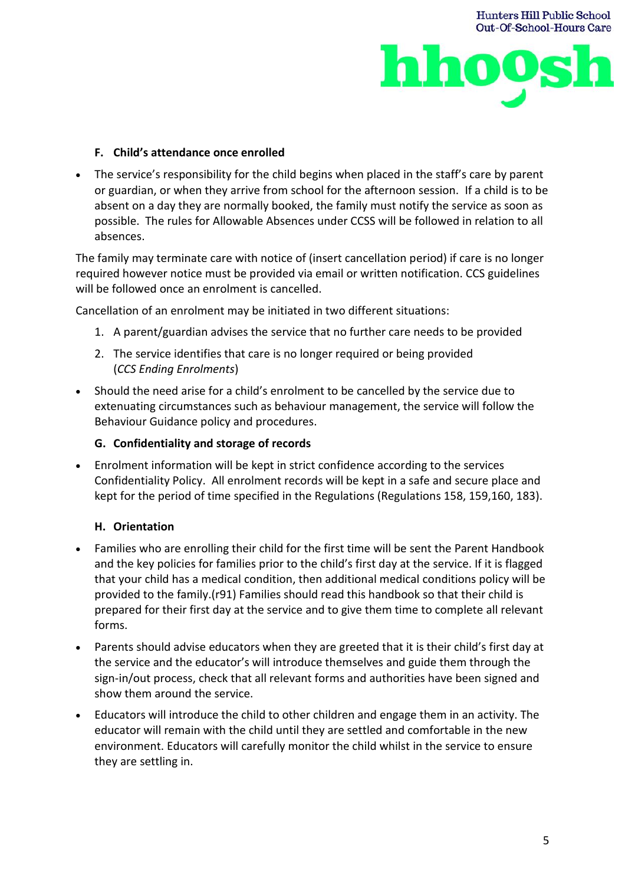



#### **F. Child's attendance once enrolled**

• The service's responsibility for the child begins when placed in the staff's care by parent or guardian, or when they arrive from school for the afternoon session. If a child is to be absent on a day they are normally booked, the family must notify the service as soon as possible. The rules for Allowable Absences under CCSS will be followed in relation to all absences.

The family may terminate care with notice of (insert cancellation period) if care is no longer required however notice must be provided via email or written notification. CCS guidelines will be followed once an enrolment is cancelled.

Cancellation of an enrolment may be initiated in two different situations:

- 1. A parent/guardian advises the service that no further care needs to be provided
- 2. The service identifies that care is no longer required or being provided (*CCS Ending Enrolments*)
- Should the need arise for a child's enrolment to be cancelled by the service due to extenuating circumstances such as behaviour management, the service will follow the Behaviour Guidance policy and procedures.

## **G. Confidentiality and storage of records**

• Enrolment information will be kept in strict confidence according to the services Confidentiality Policy. All enrolment records will be kept in a safe and secure place and kept for the period of time specified in the Regulations (Regulations 158, 159,160, 183).

# **H. Orientation**

- Families who are enrolling their child for the first time will be sent the Parent Handbook and the key policies for families prior to the child's first day at the service. If it is flagged that your child has a medical condition, then additional medical conditions policy will be provided to the family.(r91) Families should read this handbook so that their child is prepared for their first day at the service and to give them time to complete all relevant forms.
- Parents should advise educators when they are greeted that it is their child's first day at the service and the educator's will introduce themselves and guide them through the sign-in/out process, check that all relevant forms and authorities have been signed and show them around the service.
- Educators will introduce the child to other children and engage them in an activity. The educator will remain with the child until they are settled and comfortable in the new environment. Educators will carefully monitor the child whilst in the service to ensure they are settling in.